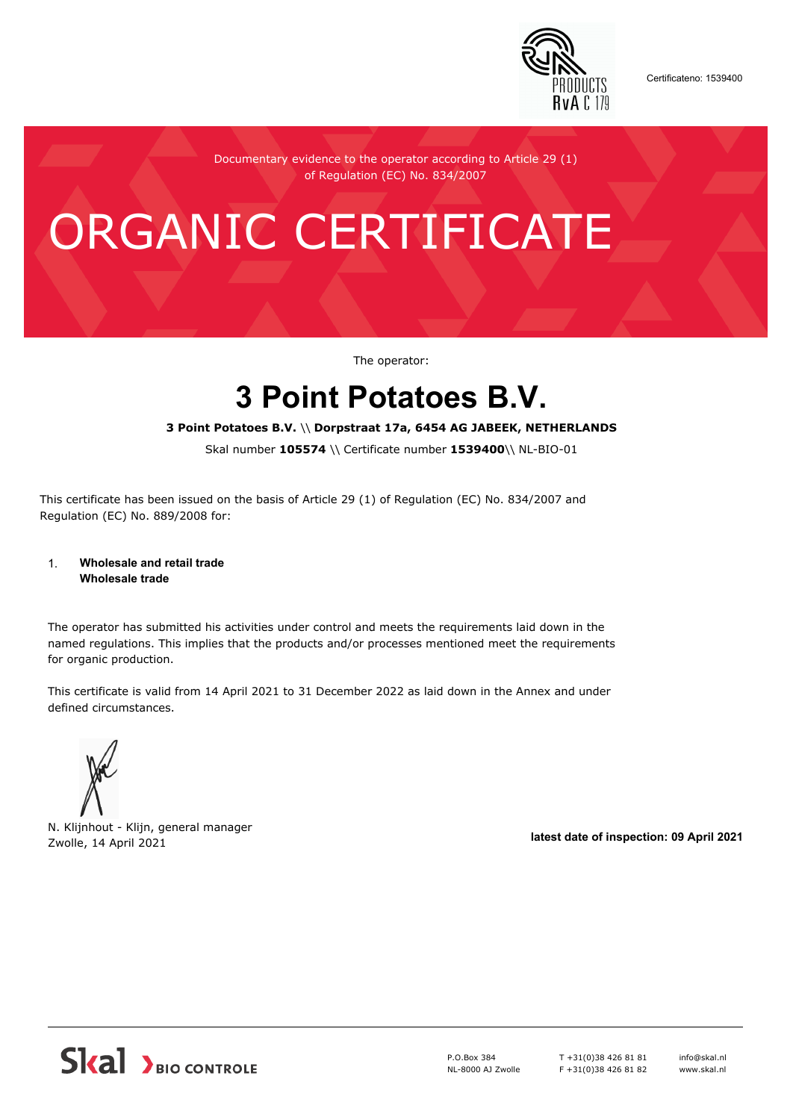

Certificateno: 1539400

Documentary evidence to the operator according to Article 29 (1) of Regulation (EC) No. 834/2007

# ORGANIC CERTIFICATE

The operator:

## **3 Point Potatoes B.V.**

#### **3 Point Potatoes B.V.** \\ **Dorpstraat 17a, 6454 AG JABEEK, NETHERLANDS**

Skal number **105574** \\ Certificate number **1539400**\\ NL-BIO-01

This certificate has been issued on the basis of Article 29 (1) of Regulation (EC) No. 834/2007 and Regulation (EC) No. 889/2008 for:

#### 1. **Wholesale and retail trade Wholesale trade**

The operator has submitted his activities under control and meets the requirements laid down in the named regulations. This implies that the products and/or processes mentioned meet the requirements for organic production.

This certificate is valid from 14 April 2021 to 31 December 2022 as laid down in the Annex and under defined circumstances.



N. Klijnhout - Klijn, general manager Zwolle, 14 April 2021 **latest date of inspection: 09 April 2021**



P.O.Box 384 NL-8000 AJ Zwolle T +31(0)38 426 81 81 F +31(0)38 426 81 82